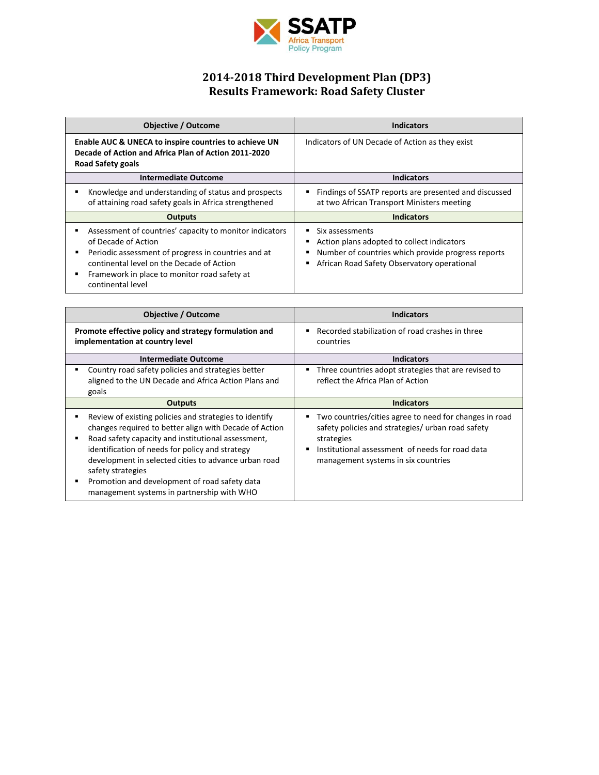

## **2014-2018 Third Development Plan (DP3) Results Framework: Road Safety Cluster**

| <b>Objective / Outcome</b>                                                                                                                                                                                                                              | <b>Indicators</b>                                                                                                                                                  |
|---------------------------------------------------------------------------------------------------------------------------------------------------------------------------------------------------------------------------------------------------------|--------------------------------------------------------------------------------------------------------------------------------------------------------------------|
| Enable AUC & UNECA to inspire countries to achieve UN<br>Decade of Action and Africa Plan of Action 2011-2020<br><b>Road Safety goals</b>                                                                                                               | Indicators of UN Decade of Action as they exist                                                                                                                    |
| <b>Intermediate Outcome</b>                                                                                                                                                                                                                             | <b>Indicators</b>                                                                                                                                                  |
| Knowledge and understanding of status and prospects<br>of attaining road safety goals in Africa strengthened                                                                                                                                            | Findings of SSATP reports are presented and discussed<br>at two African Transport Ministers meeting                                                                |
| <b>Outputs</b>                                                                                                                                                                                                                                          | <b>Indicators</b>                                                                                                                                                  |
| Assessment of countries' capacity to monitor indicators<br>of Decade of Action<br>Periodic assessment of progress in countries and at<br>continental level on the Decade of Action<br>Framework in place to monitor road safety at<br>continental level | Six assessments<br>Action plans adopted to collect indicators<br>Number of countries which provide progress reports<br>African Road Safety Observatory operational |

| <b>Objective / Outcome</b>                                                                                                                                                                                                                                                                                                                                                                            | <b>Indicators</b>                                                                                                                                                                                                        |
|-------------------------------------------------------------------------------------------------------------------------------------------------------------------------------------------------------------------------------------------------------------------------------------------------------------------------------------------------------------------------------------------------------|--------------------------------------------------------------------------------------------------------------------------------------------------------------------------------------------------------------------------|
| Promote effective policy and strategy formulation and<br>implementation at country level                                                                                                                                                                                                                                                                                                              | Recorded stabilization of road crashes in three<br>countries                                                                                                                                                             |
| <b>Intermediate Outcome</b>                                                                                                                                                                                                                                                                                                                                                                           | <b>Indicators</b>                                                                                                                                                                                                        |
| Country road safety policies and strategies better<br>aligned to the UN Decade and Africa Action Plans and<br>goals                                                                                                                                                                                                                                                                                   | Three countries adopt strategies that are revised to<br>п<br>reflect the Africa Plan of Action                                                                                                                           |
| <b>Outputs</b>                                                                                                                                                                                                                                                                                                                                                                                        | <b>Indicators</b>                                                                                                                                                                                                        |
| Review of existing policies and strategies to identify<br>changes required to better align with Decade of Action<br>Road safety capacity and institutional assessment,<br>identification of needs for policy and strategy<br>development in selected cities to advance urban road<br>safety strategies<br>Promotion and development of road safety data<br>management systems in partnership with WHO | Two countries/cities agree to need for changes in road<br>Е<br>safety policies and strategies/ urban road safety<br>strategies<br>Institutional assessment of needs for road data<br>management systems in six countries |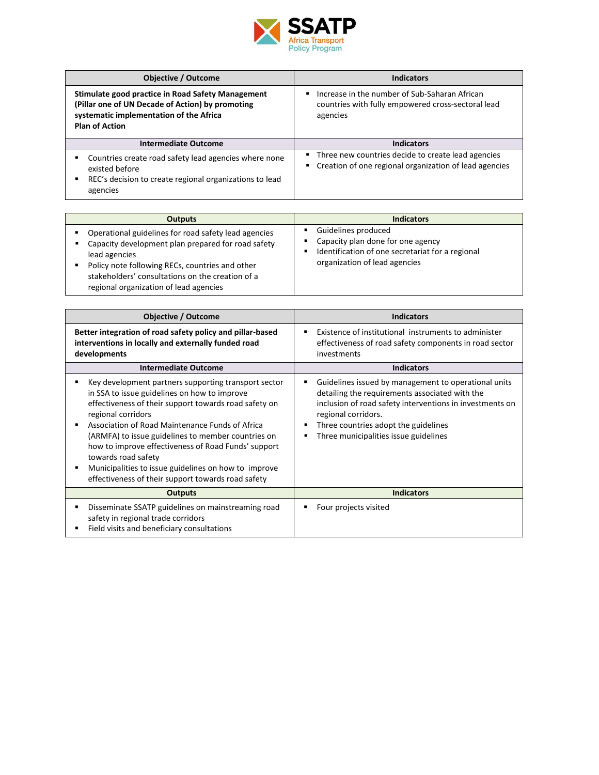

| <b>Objective / Outcome</b>                                                                                                                                                | <b>Indicators</b>                                                                                                                 |
|---------------------------------------------------------------------------------------------------------------------------------------------------------------------------|-----------------------------------------------------------------------------------------------------------------------------------|
| Stimulate good practice in Road Safety Management<br>(Pillar one of UN Decade of Action) by promoting<br>systematic implementation of the Africa<br><b>Plan of Action</b> | Increase in the number of Sub-Saharan African<br>$\blacksquare$<br>countries with fully empowered cross-sectoral lead<br>agencies |
| <b>Intermediate Outcome</b>                                                                                                                                               | <b>Indicators</b>                                                                                                                 |
| Countries create road safety lead agencies where none<br>existed before<br>REC's decision to create regional organizations to lead<br>agencies                            | Three new countries decide to create lead agencies<br>• Creation of one regional organization of lead agencies                    |

| <b>Outputs</b>                                                                                                                                                                                                                                                                         | <b>Indicators</b>                                                                                                                             |
|----------------------------------------------------------------------------------------------------------------------------------------------------------------------------------------------------------------------------------------------------------------------------------------|-----------------------------------------------------------------------------------------------------------------------------------------------|
| Operational guidelines for road safety lead agencies<br>٠<br>Capacity development plan prepared for road safety<br>lead agencies<br>Policy note following RECs, countries and other<br>٠<br>stakeholders' consultations on the creation of a<br>regional organization of lead agencies | Guidelines produced<br>Capacity plan done for one agency<br>Identification of one secretariat for a regional<br>organization of lead agencies |

| <b>Objective / Outcome</b>                                                                                                                                                                                                                                                                                                                                                                                                                                                               | <b>Indicators</b>                                                                                                                                                                                                                                                                         |
|------------------------------------------------------------------------------------------------------------------------------------------------------------------------------------------------------------------------------------------------------------------------------------------------------------------------------------------------------------------------------------------------------------------------------------------------------------------------------------------|-------------------------------------------------------------------------------------------------------------------------------------------------------------------------------------------------------------------------------------------------------------------------------------------|
| Better integration of road safety policy and pillar-based<br>interventions in locally and externally funded road<br>developments                                                                                                                                                                                                                                                                                                                                                         | Existence of institutional instruments to administer<br>٠<br>effectiveness of road safety components in road sector<br>investments                                                                                                                                                        |
| <b>Intermediate Outcome</b>                                                                                                                                                                                                                                                                                                                                                                                                                                                              | <b>Indicators</b>                                                                                                                                                                                                                                                                         |
| Key development partners supporting transport sector<br>in SSA to issue guidelines on how to improve<br>effectiveness of their support towards road safety on<br>regional corridors<br>Association of Road Maintenance Funds of Africa<br>(ARMFA) to issue guidelines to member countries on<br>how to improve effectiveness of Road Funds' support<br>towards road safety<br>Municipalities to issue guidelines on how to improve<br>effectiveness of their support towards road safety | Guidelines issued by management to operational units<br>٠<br>detailing the requirements associated with the<br>inclusion of road safety interventions in investments on<br>regional corridors.<br>Three countries adopt the guidelines<br>п<br>Three municipalities issue guidelines<br>٠ |
| <b>Outputs</b>                                                                                                                                                                                                                                                                                                                                                                                                                                                                           | <b>Indicators</b>                                                                                                                                                                                                                                                                         |
| Disseminate SSATP guidelines on mainstreaming road<br>safety in regional trade corridors<br>Field visits and beneficiary consultations                                                                                                                                                                                                                                                                                                                                                   | Four projects visited                                                                                                                                                                                                                                                                     |